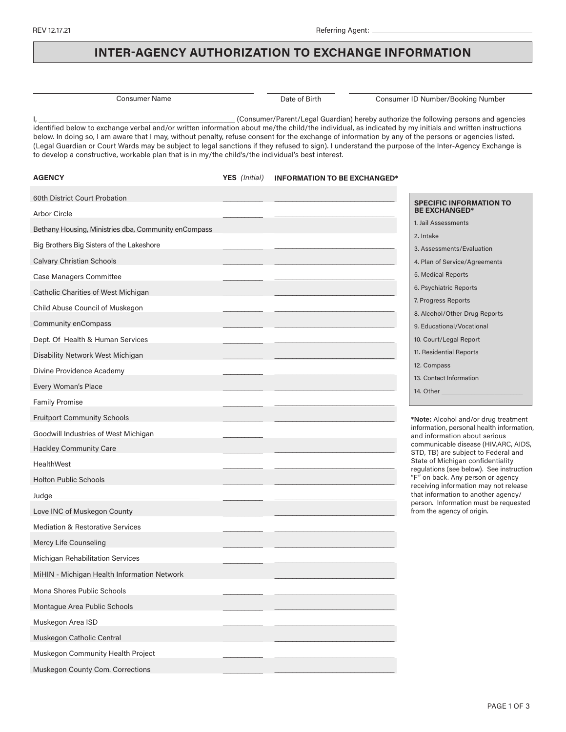**AGENCY**

## **INTER-AGENCY AUTHORIZATION TO EXCHANGE INFORMATION**

Consumer Name Date of Birth Consumer ID Number/Booking Number

I, \_\_\_\_\_\_\_\_\_\_\_\_\_\_\_\_\_\_\_\_\_\_\_\_\_\_\_\_\_\_\_\_\_\_\_\_\_\_\_\_\_\_\_\_\_\_\_\_\_\_ (Consumer/Parent/Legal Guardian) hereby authorize the following persons and agencies identified below to exchange verbal and/or written information about me/the child/the individual, as indicated by my initials and written instructions below. In doing so, I am aware that I may, without penalty, refuse consent for the exchange of information by any of the persons or agencies listed. (Legal Guardian or Court Wards may be subject to legal sanctions if they refused to sign). I understand the purpose of the Inter-Agency Exchange is to develop a constructive, workable plan that is in my/the child's/the individual's best interest.

> **YES** *(Initial)* **INFORMATION TO BE EXCHANGED\***

| 60th District Court Probation                        | <b>SPECIFIC INFORMATION TO</b>                                                |
|------------------------------------------------------|-------------------------------------------------------------------------------|
| Arbor Circle                                         | <b>BE EXCHANGED*</b>                                                          |
| Bethany Housing, Ministries dba, Community enCompass | 1. Jail Assessments<br>2. Intake                                              |
| Big Brothers Big Sisters of the Lakeshore            | 3. Assessments/Evaluation                                                     |
| Calvary Christian Schools                            | 4. Plan of Service/Agreements                                                 |
| Case Managers Committee                              | 5. Medical Reports                                                            |
| Catholic Charities of West Michigan                  | 6. Psychiatric Reports                                                        |
| Child Abuse Council of Muskegon                      | 7. Progress Reports                                                           |
|                                                      | 8. Alcohol/Other Drug Reports                                                 |
| <b>Community enCompass</b>                           | 9. Educational/Vocational                                                     |
| Dept. Of Health & Human Services                     | 10. Court/Legal Report                                                        |
| Disability Network West Michigan                     | 11. Residential Reports                                                       |
| Divine Providence Academy                            | 12. Compass                                                                   |
| Every Woman's Place                                  | 13. Contact Information<br>14. Other                                          |
| <b>Family Promise</b>                                |                                                                               |
| <b>Fruitport Community Schools</b>                   | *Note: Alcohol and/or drug treatment                                          |
| Goodwill Industries of West Michigan                 | information, personal health information,<br>and information about serious    |
| <b>Hackley Community Care</b>                        | communicable disease (HIV, ARC, AIDS,<br>STD, TB) are subject to Federal and  |
| <b>HealthWest</b>                                    | State of Michigan confidentiality                                             |
| <b>Holton Public Schools</b>                         | regulations (see below). See instruction<br>"F" on back. Any person or agency |
|                                                      | receiving information may not release<br>that information to another agency/  |
| Love INC of Muskegon County                          | person. Information must be requested<br>from the agency of origin.           |
| <b>Mediation &amp; Restorative Services</b>          |                                                                               |
| Mercy Life Counseling                                |                                                                               |
| Michigan Rehabilitation Services                     |                                                                               |
| MiHIN - Michigan Health Information Network          |                                                                               |
| Mona Shores Public Schools                           |                                                                               |
| Montague Area Public Schools                         |                                                                               |
| Muskegon Area ISD                                    |                                                                               |
| Muskegon Catholic Central                            |                                                                               |
| Muskegon Community Health Project                    |                                                                               |
|                                                      |                                                                               |
| Muskegon County Com. Corrections                     |                                                                               |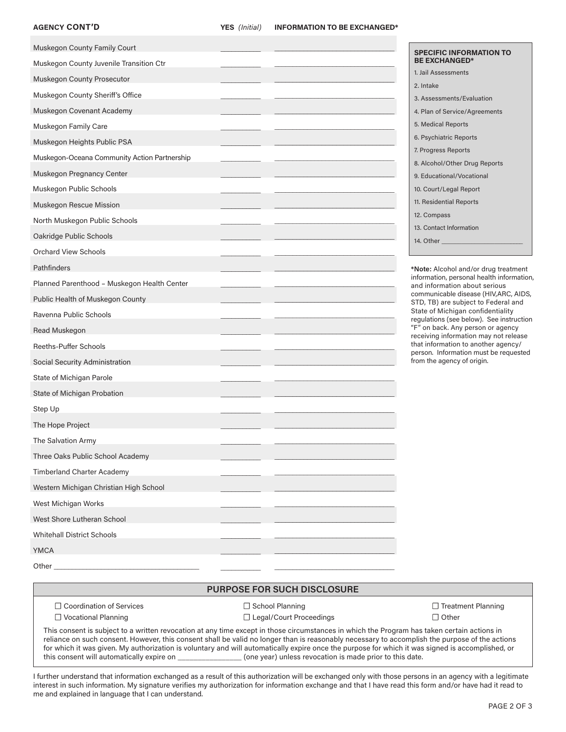## **AGENCY CONT'D**

| Muskegon County Family Court                 |  | <b>SPECIFIC INFORMATION TO</b>                                                    |
|----------------------------------------------|--|-----------------------------------------------------------------------------------|
| Muskegon County Juvenile Transition Ctr      |  | <b>BE EXCHANGED*</b>                                                              |
| Muskegon County Prosecutor                   |  | 1. Jail Assessments                                                               |
| Muskegon County Sheriff's Office             |  | 2. Intake                                                                         |
| Muskegon Covenant Academy                    |  | 3. Assessments/Evaluation                                                         |
|                                              |  | 4. Plan of Service/Agreements<br>5. Medical Reports                               |
| Muskegon Family Care                         |  | 6. Psychiatric Reports                                                            |
| Muskegon Heights Public PSA                  |  | 7. Progress Reports                                                               |
| Muskegon-Oceana Community Action Partnership |  | 8. Alcohol/Other Drug Reports                                                     |
| Muskegon Pregnancy Center                    |  | 9. Educational/Vocational                                                         |
| Muskegon Public Schools                      |  | 10. Court/Legal Report                                                            |
| Muskegon Rescue Mission                      |  | 11. Residential Reports                                                           |
| North Muskegon Public Schools                |  | 12. Compass                                                                       |
| Oakridge Public Schools                      |  | 13. Contact Information                                                           |
| Orchard View Schools                         |  | 14. Other _                                                                       |
| Pathfinders                                  |  |                                                                                   |
|                                              |  | *Note: Alcohol and/or drug treatment<br>information, personal health information, |
| Planned Parenthood - Muskegon Health Center  |  | and information about serious<br>communicable disease (HIV, ARC, AIDS,            |
| Public Health of Muskegon County             |  | STD, TB) are subject to Federal and<br>State of Michigan confidentiality          |
| Ravenna Public Schools                       |  | regulations (see below). See instruction                                          |
| Read Muskegon                                |  | "F" on back. Any person or agency<br>receiving information may not release        |
| Reeths-Puffer Schools                        |  | that information to another agency/<br>person. Information must be requested      |
| Social Security Administration               |  | from the agency of origin.                                                        |
| State of Michigan Parole                     |  |                                                                                   |
| State of Michigan Probation                  |  |                                                                                   |
| Step Up                                      |  |                                                                                   |
| The Hope Project                             |  |                                                                                   |
| The Salvation Army                           |  |                                                                                   |
| Three Oaks Public School Academy             |  |                                                                                   |
| <b>Timberland Charter Academy</b>            |  |                                                                                   |
| Western Michigan Christian High School       |  |                                                                                   |
| West Michigan Works                          |  |                                                                                   |
| West Shore Lutheran School                   |  |                                                                                   |
| <b>Whitehall District Schools</b>            |  |                                                                                   |
|                                              |  |                                                                                   |
| <b>YMCA</b>                                  |  |                                                                                   |
| Other                                        |  |                                                                                   |

## **PURPOSE FOR SUCH DISCLOSURE**

\_\_\_\_\_\_\_\_\_\_\_\_\_\_\_\_\_\_\_\_\_\_\_\_\_\_\_\_\_\_\_\_\_

 $\overline{\phantom{a}}$ 

☐ Coordination of Services ☐ Vocational Planning

☐ School Planning ☐ Legal/Court Proceedings ☐ Treatment Planning ☐ Other

This consent is subject to a written revocation at any time except in those circumstances in which the Program has taken certain actions in reliance on such consent. However, this consent shall be valid no longer than is reasonably necessary to accomplish the purpose of the actions for which it was given. My authorization is voluntary and will automatically expire once the purpose for which it was signed is accomplished, or this consent will automatically expire on \_\_\_\_\_\_\_\_\_\_\_\_\_\_\_\_ (one year) unless revocation is made prior to this date.

I further understand that information exchanged as a result of this authorization will be exchanged only with those persons in an agency with a legitimate interest in such information. My signature verifies my authorization for information exchange and that I have read this form and/or have had it read to me and explained in language that I can understand.